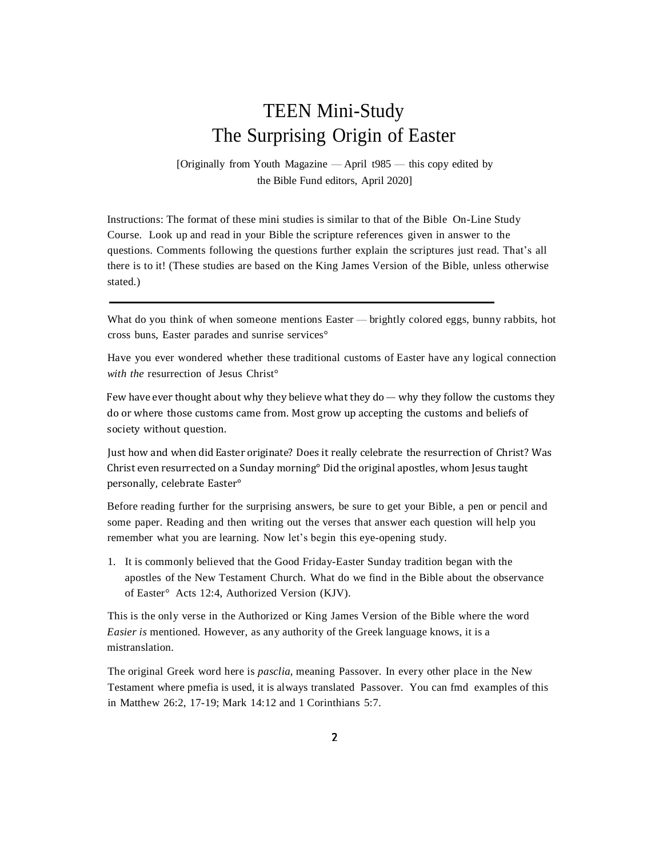## TEEN Mini-Study The Surprising Origin of Easter

[Originally from Youth Magazine — April t985 — this copy edited by the Bible Fund editors, April 2020]

Instructions: The format of these mini studies is similar to that of the Bible On-Line Study Course. Look up and read in your Bible the scripture references given in answer to the questions. Comments following the questions further explain the scriptures just read. That's all there is to it! (These studies are based on the King James Version of the Bible, unless otherwise stated.)

What do you think of when someone mentions Easter — brightly colored eggs, bunny rabbits, hot cross buns, Easter parades and sunrise services°

Have you ever wondered whether these traditional customs of Easter have any logical connection *with the* resurrection of Jesus Christ°

Few have ever thought about why they believe what they do — why they follow the customs they do or where those customs came from. Most grow up accepting the customs and beliefs of society without question.

Just how and when did Easter originate? Does it really celebrate the resurrection of Christ? Was Christ even resurrected on a Sunday morning° Did the original apostles, whom Jesus taught personally, celebrate Easter°

Before reading further for the surprising answers, be sure to get your Bible, a pen or pencil and some paper. Reading and then writing out the verses that answer each question will help you remember what you are learning. Now let's begin this eye-opening study.

1. It is commonly believed that the Good Friday-Easter Sunday tradition began with the apostles of the New Testament Church. What do we find in the Bible about the observance of Easter° Acts 12:4, Authorized Version (KJV).

This is the only verse in the Authorized or King James Version of the Bible where the word *Easier is* mentioned. However, as any authority of the Greek language knows, it is a mistranslation.

The original Greek word here is *pasclia,* meaning Passover. In every other place in the New Testament where pmefia is used, it is always translated Passover. You can fmd examples of this in Matthew 26:2, 17-19; Mark 14:12 and 1 Corinthians 5:7.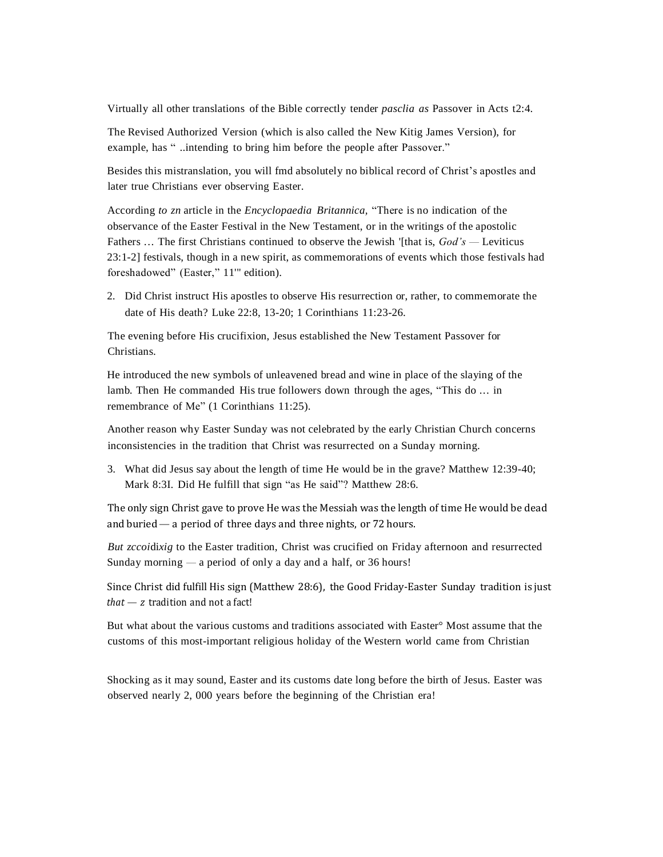Virtually all other translations of the Bible correctly tender *pasclia as* Passover in Acts t2:4.

The Revised Authorized Version (which is also called the New Kitig James Version), for example, has " ..intending to bring him before the people after Passover."

Besides this mistranslation, you will fmd absolutely no biblical record of Christ's apostles and later true Christians ever observing Easter.

According *to zn* article in the *Encyclopaedia Britannica,* "There is no indication of the observance of the Easter Festival in the New Testament, or in the writings of the apostolic Fathers ... The first Christians continued to observe the Jewish '[that is, *God's —* Leviticus 23:1-2] festivals, though in a new spirit, as commemorations of events which those festivals had foreshadowed" (Easter," 11" edition).

2. Did Christ instruct His apostles to observe His resurrection or, rather, to commemorate the date of His death? Luke 22:8, 13-20; 1 Corinthians 11:23-26.

The evening before His crucifixion, Jesus established the New Testament Passover for Christians.

He introduced the new symbols of unleavened bread and wine in place of the slaying of the lamb. Then He commanded His true followers down through the ages, "This do ... in remembrance of Me" (1 Corinthians 11:25).

Another reason why Easter Sunday was not celebrated by the early Christian Church concerns inconsistencies in the tradition that Christ was resurrected on a Sunday morning.

3. What did Jesus say about the length of time He would be in the grave? Matthew 12:39-40; Mark 8:3I. Did He fulfill that sign "as He said"? Matthew 28:6.

The only sign Christ gave to prove He was the Messiah was the length of time He would be dead and buried— a period of three days and three nights, or 72 hours.

*But zccoi*di*xig* to the Easter tradition, Christ was crucified on Friday afternoon and resurrected Sunday morning  $-$  a period of only a day and a half, or 36 hours!

Since Christ did fulfill His sign (Matthew 28:6), the Good Friday-Easter Sunday tradition is just  $that - z$  tradition and not a fact!

But what about the various customs and traditions associated with Easter° Most assume that the customs of this most-important religious holiday of the Western world came from Christian

Shocking as it may sound, Easter and its customs date long before the birth of Jesus. Easter was observed nearly 2, 000 years before the beginning of the Christian era!